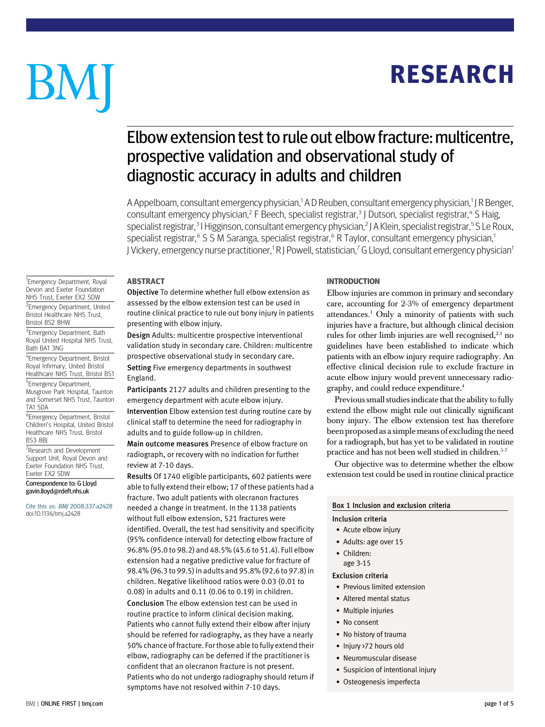## RESEARCH

# BM

### Elbow extension test to rule out elbow fracture: multicentre, prospective validation and observational study of diagnostic accuracy in adults and children

A Appelboam, consultant emergency physician,<sup>1</sup> A D Reuben, consultant emergency physician,<sup>1</sup> J R Benger, consultant emergency physician,<sup>2</sup> F Beech, specialist registrar,<sup>3</sup> J Dutson, specialist registrar,<sup>4</sup> S Haig, specialist registrar,<sup>3</sup> I Higginson, consultant emergency physician,<sup>2</sup> J A Klein, specialist registrar,<sup>5</sup> S Le Roux, specialist registrar,<sup>6</sup> S S M Saranga, specialist registrar,<sup>6</sup> R Taylor, consultant emergency physician,<sup>1</sup> J Vickery, emergency nurse practitioner,<sup>1</sup> R J Powell, statistician,<sup>7</sup> G Lloyd, consultant emergency physician<sup>1</sup>

#### ABSTRACT

<sup>1</sup> Emergency Department, Royal Devon and Exeter Foundation NHS Trust, Exeter EX2 5DW <sup>2</sup> Emergency Department, United

Bristol Healthcare NHS Trust, Bristol BS2 8HW

<sup>3</sup> Emergency Department, Bath Royal United Hospital NHS Trust, Bath BA1 3NG

4 Emergency Department, Bristol Royal Infirmary, United Bristol Healthcare NHS Trust, Bristol BS1

<sup>5</sup> Emergency Department, Musgrove Park Hospital, Taunton and Somerset NHS Trust, Taunton TA1 5DA

6 Emergency Department, Bristol Children's Hospital, United Bristol Healthcare NHS Trust, Bristol BS3 8BJ

<sup>7</sup>Research and Development Support Unit, Royal Devon and Exeter Foundation NHS Trust, Exeter EX2 5DW

Correspondence to: G Lloyd gavin.lloyd@rdeft.nhs.uk

Cite this as: BMJ 2008;337:a2428 doi:10.1136/bmj.a2428

Objective To determine whether full elbow extension as assessed by the elbow extension test can be used in routine clinical practice to rule out bony injury in patients presenting with elbow injury.

Design Adults: multicentre prospective interventional validation study in secondary care. Children: multicentre prospective observational study in secondary care. Setting Five emergency departments in southwest England.

Participants 2127 adults and children presenting to the emergency department with acute elbow injury.

Intervention Elbow extension test during routine care by clinical staff to determine the need for radiography in adults and to guide follow-up in children.

Main outcome measures Presence of elbow fracture on radiograph, or recovery with no indication for further review at 7-10 days.

Results Of 1740 eligible participants, 602 patients were able to fully extend their elbow; 17 of these patients had a fracture. Two adult patients with olecranon fractures needed a change in treatment. In the 1138 patients without full elbow extension, 521 fractures were identified. Overall, the test had sensitivity and specificity (95% confidence interval) for detecting elbow fracture of 96.8% (95.0 to 98.2) and 48.5% (45.6 to 51.4). Full elbow extension had a negative predictive value for fracture of 98.4% (96.3 to 99.5) in adults and 95.8% (92.6 to 97.8) in children. Negative likelihood ratios were 0.03 (0.01 to 0.08) in adults and 0.11 (0.06 to 0.19) in children.

Conclusion The elbow extension test can be used in routine practice to inform clinical decision making. Patients who cannot fully extend their elbow after injury should be referred for radiography, as they have a nearly 50% chance of fracture. For those able to fully extend their elbow, radiography can be deferred if the practitioner is confident that an olecranon fracture is not present. Patients who do not undergo radiography should return if symptoms have not resolved within 7-10 days.

#### INTRODUCTION

Elbow injuries are common in primary and secondary care, accounting for 2-3% of emergency department attendances.1 Only a minority of patients with such injuries have a fracture, but although clinical decision rules for other limb injuries are well recognised,<sup>23</sup> no guidelines have been established to indicate which patients with an elbow injury require radiography. An effective clinical decision rule to exclude fracture in acute elbow injury would prevent unnecessary radiography, and could reduce expenditure.<sup>4</sup>

Previous small studies indicate that the ability to fully extend the elbow might rule out clinically significant bony injury. The elbow extension test has therefore been proposed as a simple means of excluding the need for a radiograph, but has yet to be validated in routine practice and has not been well studied in children.<sup>5-7</sup>

Our objective was to determine whether the elbow extension test could be used in routine clinical practice

#### Box 1 Inclusion and exclusion criteria

Inclusion criteria

- Acute elbow injury
- Adults: age over 15
- Children:
	- age 3-15

Exclusion criteria

- Previous limited extension
- Altered mental status
- Multiple injuries
- No consent
- No history of trauma
- Injury >72 hours old
- Neuromuscular disease
- Suspicion of intentional injury
- Osteogenesis imperfecta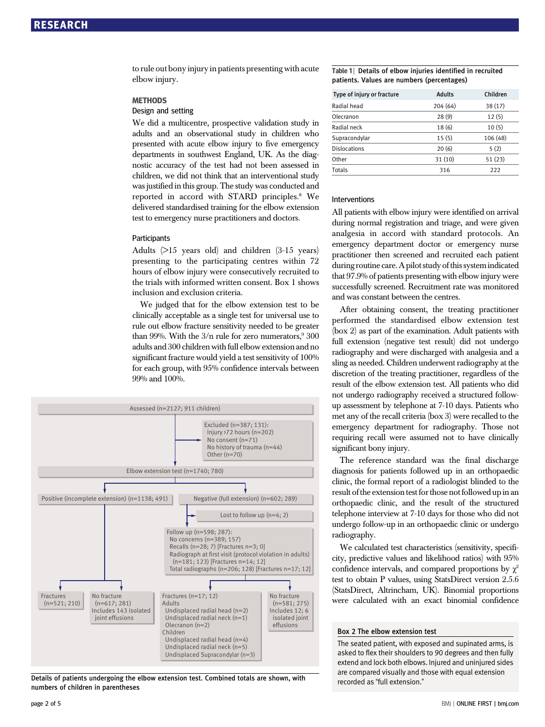to rule out bony injury in patients presenting with acute elbow injury.

#### **METHODS**

#### Design and setting

We did a multicentre, prospective validation study in adults and an observational study in children who presented with acute elbow injury to five emergency departments in southwest England, UK. As the diagnostic accuracy of the test had not been assessed in children, we did not think that an interventional study was justified in this group. The study was conducted and reported in accord with STARD principles.<sup>8</sup> We delivered standardised training for the elbow extension test to emergency nurse practitioners and doctors.

#### **Participants**

Adults (>15 years old) and children (3-15 years) presenting to the participating centres within 72 hours of elbow injury were consecutively recruited to the trials with informed written consent. Box 1 shows inclusion and exclusion criteria.

We judged that for the elbow extension test to be clinically acceptable as a single test for universal use to rule out elbow fracture sensitivity needed to be greater than 99%. With the  $3/n$  rule for zero numerators,  $9300$ adults and 300 children with full elbow extension and no significant fracture would yield a test sensitivity of 100% for each group, with 95% confidence intervals between 99% and 100%.



Details of patients undergoing the elbow extension test. Combined totals are shown, with numbers of children in parentheses

#### Table 1 | Details of elbow injuries identified in recruited patients. Values are numbers (percentages)

| Type of injury or fracture | <b>Adults</b> | Children |  |
|----------------------------|---------------|----------|--|
| Radial head                | 204 (64)      | 38(17)   |  |
| Olecranon                  | 28(9)         | 12(5)    |  |
| Radial neck                | 18(6)         | 10(5)    |  |
| Supracondylar              | 15(5)         | 106 (48) |  |
| <b>Dislocations</b>        | 20(6)         | 5(2)     |  |
| Other                      | 31 (10)       | 51(23)   |  |
| Totals                     | 316           | 222      |  |

#### Interventions

All patients with elbow injury were identified on arrival during normal registration and triage, and were given analgesia in accord with standard protocols. An emergency department doctor or emergency nurse practitioner then screened and recruited each patient during routine care. A pilot study of this system indicated that 97.9% of patients presenting with elbow injury were successfully screened. Recruitment rate was monitored and was constant between the centres.

After obtaining consent, the treating practitioner performed the standardised elbow extension test (box 2) as part of the examination. Adult patients with full extension (negative test result) did not undergo radiography and were discharged with analgesia and a sling as needed. Children underwent radiography at the discretion of the treating practitioner, regardless of the result of the elbow extension test. All patients who did not undergo radiography received a structured followup assessment by telephone at 7-10 days. Patients who met any of the recall criteria (box 3) were recalled to the emergency department for radiography. Those not requiring recall were assumed not to have clinically significant bony injury.

The reference standard was the final discharge diagnosis for patients followed up in an orthopaedic clinic, the formal report of a radiologist blinded to the result of the extension test for those not followed up in an orthopaedic clinic, and the result of the structured telephone interview at 7-10 days for those who did not undergo follow-up in an orthopaedic clinic or undergo radiography.

We calculated test characteristics (sensitivity, specificity, predictive values and likelihood ratios) with 95% confidence intervals, and compared proportions by  $\chi^2$ test to obtain P values, using StatsDirect version 2.5.6 (StatsDirect, Altrincham, UK). Binomial proportions were calculated with an exact binomial confidence

#### Box 2 The elbow extension test

The seated patient, with exposed and supinated arms, is asked to flex their shoulders to 90 degrees and then fully extend and lock both elbows. Injured and uninjured sides are compared visually and those with equal extension recorded as "full extension."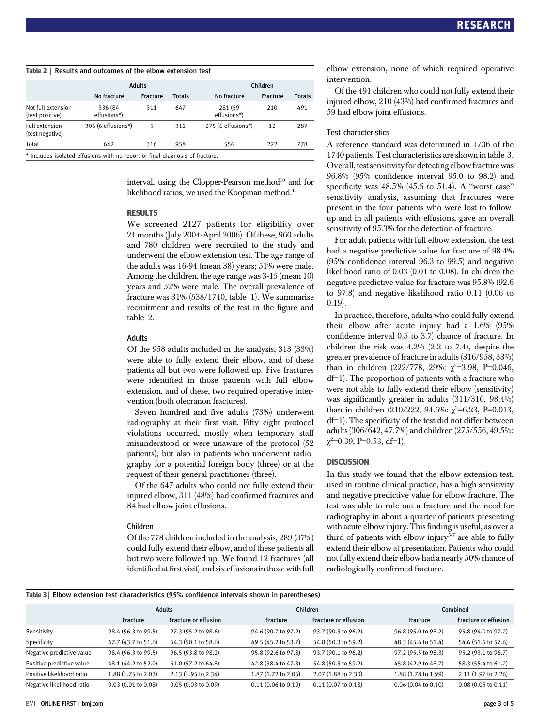|                                       | <b>Adults</b>          |                 |               | Children               |                 |               |
|---------------------------------------|------------------------|-----------------|---------------|------------------------|-----------------|---------------|
|                                       | No fracture            | <b>Fracture</b> | <b>Totals</b> | No fracture            | <b>Fracture</b> | <b>Totals</b> |
| Not full extension<br>(test positive) | 336 (84<br>effusions*) | 311             | 647           | 281 (59<br>effusions*) | 210             | 491           |
| Full extension<br>(test negative)     | 306 (6 effusions*)     | 5               | 311           | 275 (6 effusions*)     | 12              | 287           |
| Total                                 | 642                    | 316             | 958           | 556                    | 222             | 778           |

interval, using the Clopper-Pearson method<sup>10</sup> and for likelihood ratios, we used the Koopman method.<sup>11</sup>

#### RESULTS

We screened 2127 patients for eligibility over 21 months (July 2004-April 2006). Of these, 960 adults and 780 children were recruited to the study and underwent the elbow extension test. The age range of the adults was 16-94 (mean 38) years; 51% were male. Among the children, the age range was 3-15 (mean 10) years and 52% were male. The overall prevalence of fracture was 31% (538/1740, table 1). We summarise recruitment and results of the test in the figure and table 2.

#### Adults

Of the 958 adults included in the analysis, 313 (33%) were able to fully extend their elbow, and of these patients all but two were followed up. Five fractures were identified in those patients with full elbow extension, and of these, two required operative intervention (both olecranon fractures).

Seven hundred and five adults (73%) underwent radiography at their first visit. Fifty eight protocol violations occurred, mostly when temporary staff misunderstood or were unaware of the protocol (52 patients), but also in patients who underwent radiography for a potential foreign body (three) or at the request of their general practitioner (three).

Of the 647 adults who could not fully extend their injured elbow, 311 (48%) had confirmed fractures and 84 had elbow joint effusions.

#### Children

Of the 778 children included in the analysis, 289 (37%) could fully extend their elbow, and of these patients all but two were followed up. We found 12 fractures (all identified at first visit) and six effusions in those with full elbow extension, none of which required operative intervention.

Of the 491 children who could not fully extend their injured elbow, 210 (43%) had confirmed fractures and 59 had elbow joint effusions.

#### Test characteristics

A reference standard was determined in 1736 of the 1740 patients. Test characteristics are shown in table 3. Overall, test sensitivity for detecting elbow fracture was 96.8% (95% confidence interval 95.0 to 98.2) and specificity was  $48.5\%$  (45.6 to 51.4). A "worst case" sensitivity analysis, assuming that fractures were present in the four patients who were lost to followup and in all patients with effusions, gave an overall sensitivity of 95.3% for the detection of fracture.

For adult patients with full elbow extension, the test had a negative predictive value for fracture of 98.4% (95% confidence interval 96.3 to 99.5) and negative likelihood ratio of 0.03 (0.01 to 0.08). In children the negative predictive value for fracture was 95.8% (92.6 to 97.8) and negative likelihood ratio 0.11 (0.06 to 0.19).

In practice, therefore, adults who could fully extend their elbow after acute injury had a 1.6% (95% confidence interval 0.5 to 3.7) chance of fracture. In children the risk was 4.2% (2.2 to 7.4), despite the greater prevalence of fracture in adults (316/958, 33%) than in children (222/778, 29%:  $\chi^2$ =3.98, P=0.046, df=1). The proportion of patients with a fracture who were not able to fully extend their elbow (sensitivity) was significantly greater in adults (311/316, 98.4%) than in children  $(210/222, 94.6\%; \chi^2=6.23, P=0.013,$ df=1). The specificity of the test did not differ between adults (306/642, 47.7%) and children (275/556, 49.5%:  $\chi^2$ =0.39, P=0.53, df=1).

#### **DISCUSSION**

In this study we found that the elbow extension test, used in routine clinical practice, has a high sensitivity and negative predictive value for elbow fracture. The test was able to rule out a fracture and the need for radiography in about a quarter of patients presenting with acute elbow injury. This finding is useful, as over a third of patients with elbow injury $5-7$  are able to fully extend their elbow at presentation. Patients who could not fully extend their elbow had a nearly 50% chance of radiologically confirmed fracture.

| Table 3   Elbow extension test characteristics (95% confidence intervals shown in parentheses) |  |  |
|------------------------------------------------------------------------------------------------|--|--|
|------------------------------------------------------------------------------------------------|--|--|

|                           | <b>Adults</b>       |                             |                           | Children                    |                     | Combined                    |  |
|---------------------------|---------------------|-----------------------------|---------------------------|-----------------------------|---------------------|-----------------------------|--|
|                           | <b>Fracture</b>     | <b>Fracture or effusion</b> | <b>Fracture</b>           | <b>Fracture or effusion</b> | <b>Fracture</b>     | <b>Fracture or effusion</b> |  |
| Sensitivity               | 98.4 (96.3 to 99.5) | 97.3 (95.2 to 98.6)         | 94.6 (90.7 to 97.2)       | 93.7 (90.3 to 96.2)         | 96.8 (95.0 to 98.2) | 95.8 (94.0 to 97.2)         |  |
| Specificity               | 47.7 (43.7 to 51.6) | 54.3 (50.1 to 58.6)         | 49.5 (45.2 to 53.7)       | 54.8 (50.3 to 59.2)         | 48.5 (45.6 to 51.4) | 54.6 (51.5 to 57.6)         |  |
| Negative predictive value | 98.4 (96.3 to 99.5) | 96.5 (93.8 to 98.2)         | 95.8 (92.6 to 97.8)       | 93.7 (90.1 to 96.2)         | 97.2 (95.5 to 98.3) | 95.2 (93.1 to 96.7)         |  |
| Positive predictive value | 48.1 (44.2 to 52.0) | 61.0 (57.2 to 64.8)         | 42.8 (38.4 to 47.3)       | 54.8 (50.3 to 59.2)         | 45.8 (42.9 to 48.7) | 58.3 (55.4 to 61.2)         |  |
| Positive likelihood ratio | 1.88 (1.75 to 2.03) | 2.13 (1.95 to 2.34)         | 1.87 (1.72 to 2.05)       | 2.07 (1.88 to 2.30)         | 1.88 (1.78 to 1.99) | 2.11 (1.97 to 2.26)         |  |
| Negative likelihood ratio | 0.03(0.01 to 0.08)  | 0.05(0.03 to 0.09)          | $0.11$ $(0.06$ to $0.19)$ | $0.11$ $(0.07$ to $0.18)$   | 0.06(0.04 to 0.10)  | 0.08(0.05 to 0.11)          |  |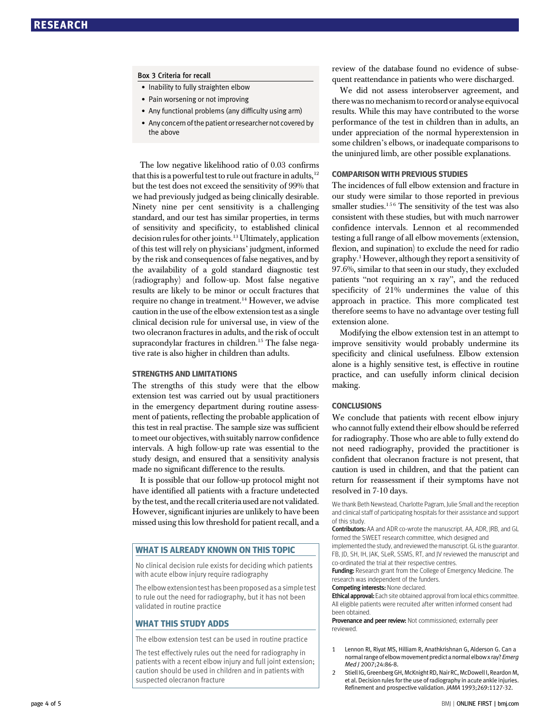#### Box 3 Criteria for recall

- Inability to fully straighten elbow
- Pain worsening or not improving
- Any functional problems (any difficulty using arm)
- Any concern of the patient or researcher not covered by the above

The low negative likelihood ratio of 0.03 confirms that this is a powerful test to rule out fracture in adults,  $12$ but the test does not exceed the sensitivity of 99% that we had previously judged as being clinically desirable. Ninety nine per cent sensitivity is a challenging standard, and our test has similar properties, in terms of sensitivity and specificity, to established clinical decision rules for other joints.<sup>13</sup> Ultimately, application of this test will rely on physicians' judgment, informed by the risk and consequences of false negatives, and by the availability of a gold standard diagnostic test (radiography) and follow-up. Most false negative results are likely to be minor or occult fractures that require no change in treatment.<sup>14</sup> However, we advise caution in the use of the elbow extension test as a single clinical decision rule for universal use, in view of the two olecranon fractures in adults, and the risk of occult supracondylar fractures in children.<sup>15</sup> The false negative rate is also higher in children than adults.

#### STRENGTHS AND LIMITATIONS

The strengths of this study were that the elbow extension test was carried out by usual practitioners in the emergency department during routine assessment of patients, reflecting the probable application of this test in real practise. The sample size was sufficient tomeet our objectives, with suitably narrow confidence intervals. A high follow-up rate was essential to the study design, and ensured that a sensitivity analysis made no significant difference to the results.

It is possible that our follow-up protocol might not have identified all patients with a fracture undetected by the test, and the recall criteria used are not validated. However, significant injuries are unlikely to have been missed using this low threshold for patient recall, and a

#### WHAT IS ALREADY KNOWN ON THIS TOPIC

No clinical decision rule exists for deciding which patients with acute elbow injury require radiography

The elbow extension test has been proposed as a simple test to rule out the need for radiography, but it has not been validated in routine practice

#### WHAT THIS STUDY ADDS

The elbow extension test can be used in routine practice

The test effectively rules out the need for radiography in patients with a recent elbow injury and full joint extension; caution should be used in children and in patients with suspected olecranon fracture

review of the database found no evidence of subsequent reattendance in patients who were discharged.

We did not assess interobserver agreement, and there was no mechanismto record or analyse equivocal results. While this may have contributed to the worse performance of the test in children than in adults, an under appreciation of the normal hyperextension in some children's elbows, or inadequate comparisons to the uninjured limb, are other possible explanations.

#### COMPARISON WITH PREVIOUS STUDIES

The incidences of full elbow extension and fracture in our study were similar to those reported in previous smaller studies. $156$  The sensitivity of the test was also consistent with these studies, but with much narrower confidence intervals. Lennon et al recommended testing a full range of all elbow movements (extension, flexion, and supination) to exclude the need for radio graphy.1 However, although they report a sensitivity of 97.6%, similar to that seen in our study, they excluded patients "not requiring an x ray", and the reduced specificity of 21% undermines the value of this approach in practice. This more complicated test therefore seems to have no advantage over testing full extension alone.

Modifying the elbow extension test in an attempt to improve sensitivity would probably undermine its specificity and clinical usefulness. Elbow extension alone is a highly sensitive test, is effective in routine practice, and can usefully inform clinical decision making.

#### **CONCLUSIONS**

We conclude that patients with recent elbow injury who cannot fully extend their elbow should be referred for radiography. Those who are able to fully extend do not need radiography, provided the practitioner is confident that olecranon fracture is not present, that caution is used in children, and that the patient can return for reassessment if their symptoms have not resolved in 7-10 days.

We thank Beth Newstead, Charlotte Pagram, Julie Small and the reception and clinical staff of participating hospitals for their assistance and support of this study.

Contributors: AA and ADR co-wrote the manuscript. AA, ADR, JRB, and GL formed the SWEET research committee, which designed and

implemented the study, and reviewed the manuscript. GL is the guarantor. FB, JD, SH, IH, JAK, SLeR, SSMS, RT, and JV reviewed the manuscript and co-ordinated the trial at their respective centres.

Funding: Research grant from the College of Emergency Medicine. The research was independent of the funders.

Competing interests: None declared.

Ethical approval: Each site obtained approval from local ethics committee. All eligible patients were recruited after written informed consent had been obtained.

Provenance and peer review: Not commissioned: externally peer reviewed.

- 1 Lennon RI, Riyat MS, Hilliam R, Anathkrishnan G, Alderson G. Can a normal range of elbow movement predict a normal elbow x ray? Emerg Med J 2007;24:86-8.
- 2 Stiell IG, Greenberg GH, McKnight RD, Nair RC, McDowell I, Reardon M. et al. Decision rules for the use of radiography in acute ankle injuries. Refinement and prospective validation. JAMA 1993;269:1127-32.